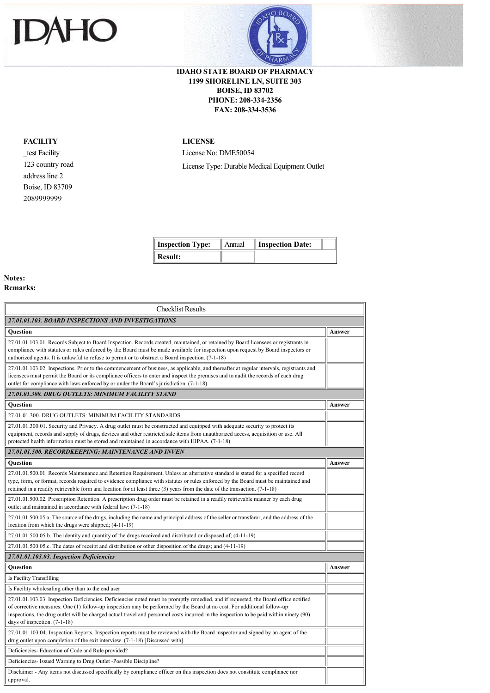# HO JE



## **IDAHO STATE BOARD OF PHARMACY 1199 SHORELINE LN, SUITE 303 BOISE, ID 83702 PHONE: 208-334-2356 FAX: 208-334-3536**

## **FACILITY**

\_test Facility 123 country road address line 2 Boise, ID 83709 2089999999

### **LICENSE**

License No: DME50054 License Type: Durable Medical Equipment Outlet

| <b>Inspection Type:</b> | $\parallel$ Annual $\parallel$ Inspection Date: |  |
|-------------------------|-------------------------------------------------|--|
| Result:                 |                                                 |  |

### **Notes: Remarks:**

 $\overline{\phantom{a}}$ 

| <b>Checklist Results</b>                                                                                                                                                                                                                                                                                                                                                                                                                    |        |  |  |
|---------------------------------------------------------------------------------------------------------------------------------------------------------------------------------------------------------------------------------------------------------------------------------------------------------------------------------------------------------------------------------------------------------------------------------------------|--------|--|--|
| 27.01.01.103. BOARD INSPECTIONS AND INVESTIGATIONS                                                                                                                                                                                                                                                                                                                                                                                          |        |  |  |
| <b>Ouestion</b>                                                                                                                                                                                                                                                                                                                                                                                                                             | Answer |  |  |
| 27.01.01.103.01. Records Subject to Board Inspection. Records created, maintained, or retained by Board licensees or registrants in<br>compliance with statutes or rules enforced by the Board must be made available for inspection upon request by Board inspectors or<br>authorized agents. It is unlawful to refuse to permit or to obstruct a Board inspection. (7-1-18)                                                               |        |  |  |
| 27.01.01.103.02. Inspections. Prior to the commencement of business, as applicable, and thereafter at regular intervals, registrants and<br>licensees must permit the Board or its compliance officers to enter and inspect the premises and to audit the records of each drug<br>outlet for compliance with laws enforced by or under the Board's jurisdiction. (7-1-18)                                                                   |        |  |  |
| 27.01.01.300, DRUG OUTLETS: MINIMUM FACILITY STAND                                                                                                                                                                                                                                                                                                                                                                                          |        |  |  |
| Question                                                                                                                                                                                                                                                                                                                                                                                                                                    |        |  |  |
| 27.01.01.300. DRUG OUTLETS: MINIMUM FACILITY STANDARDS.                                                                                                                                                                                                                                                                                                                                                                                     |        |  |  |
| 27.01.01.300.01. Security and Privacy. A drug outlet must be constructed and equipped with adequate security to protect its<br>equipment, records and supply of drugs, devices and other restricted sale items from unauthorized access, acquisition or use. All<br>protected health information must be stored and maintained in accordance with HIPAA. (7-1-18)                                                                           |        |  |  |
| 27.01.01.500. RECORDKEEPING: MAINTENANCE AND INVEN                                                                                                                                                                                                                                                                                                                                                                                          |        |  |  |
| Ouestion                                                                                                                                                                                                                                                                                                                                                                                                                                    | Answer |  |  |
| 27.01.01.500.01. Records Maintenance and Retention Requirement. Unless an alternative standard is stated for a specified record<br>type, form, or format, records required to evidence compliance with statutes or rules enforced by the Board must be maintained and<br>retained in a readily retrievable form and location for at least three (3) years from the date of the transaction. (7-1-18)                                        |        |  |  |
| 27.01.01.500.02. Prescription Retention. A prescription drug order must be retained in a readily retrievable manner by each drug<br>outlet and maintained in accordance with federal law: (7-1-18)                                                                                                                                                                                                                                          |        |  |  |
| 27.01.01.500.05.a. The source of the drugs, including the name and principal address of the seller or transferor, and the address of the<br>location from which the drugs were shipped; (4-11-19)                                                                                                                                                                                                                                           |        |  |  |
| 27.01.01.500.05.b. The identity and quantity of the drugs received and distributed or disposed of; (4-11-19)                                                                                                                                                                                                                                                                                                                                |        |  |  |
| 27.01.01.500.05.c. The dates of receipt and distribution or other disposition of the drugs; and (4-11-19)                                                                                                                                                                                                                                                                                                                                   |        |  |  |
| 27.01.01.103.03. Inspection Deficiencies                                                                                                                                                                                                                                                                                                                                                                                                    |        |  |  |
| Question                                                                                                                                                                                                                                                                                                                                                                                                                                    | Answer |  |  |
| Is Facility Transfilling                                                                                                                                                                                                                                                                                                                                                                                                                    |        |  |  |
| Is Facility wholesaling other than to the end user                                                                                                                                                                                                                                                                                                                                                                                          |        |  |  |
| 27.01.01.103.03. Inspection Deficiencies. Deficiencies noted must be promptly remedied, and if requested, the Board office notified<br>of corrective measures. One (1) follow-up inspection may be performed by the Board at no cost. For additional follow-up<br>inspections, the drug outlet will be charged actual travel and personnel costs incurred in the inspection to be paid within ninety (90)<br>days of inspection. $(7-1-18)$ |        |  |  |
| 27.01.01.103.04. Inspection Reports. Inspection reports must be reviewed with the Board inspector and signed by an agent of the<br>drug outlet upon completion of the exit interview. (7-1-18) [Discussed with]                                                                                                                                                                                                                             |        |  |  |
| Deficiencies-Education of Code and Rule provided?                                                                                                                                                                                                                                                                                                                                                                                           |        |  |  |
| Deficiencies- Issued Warning to Drug Outlet -Possible Discipline?                                                                                                                                                                                                                                                                                                                                                                           |        |  |  |
| Disclaimer - Any items not discussed specifically by compliance officer on this inspection does not constitute compliance nor<br>approval.                                                                                                                                                                                                                                                                                                  |        |  |  |